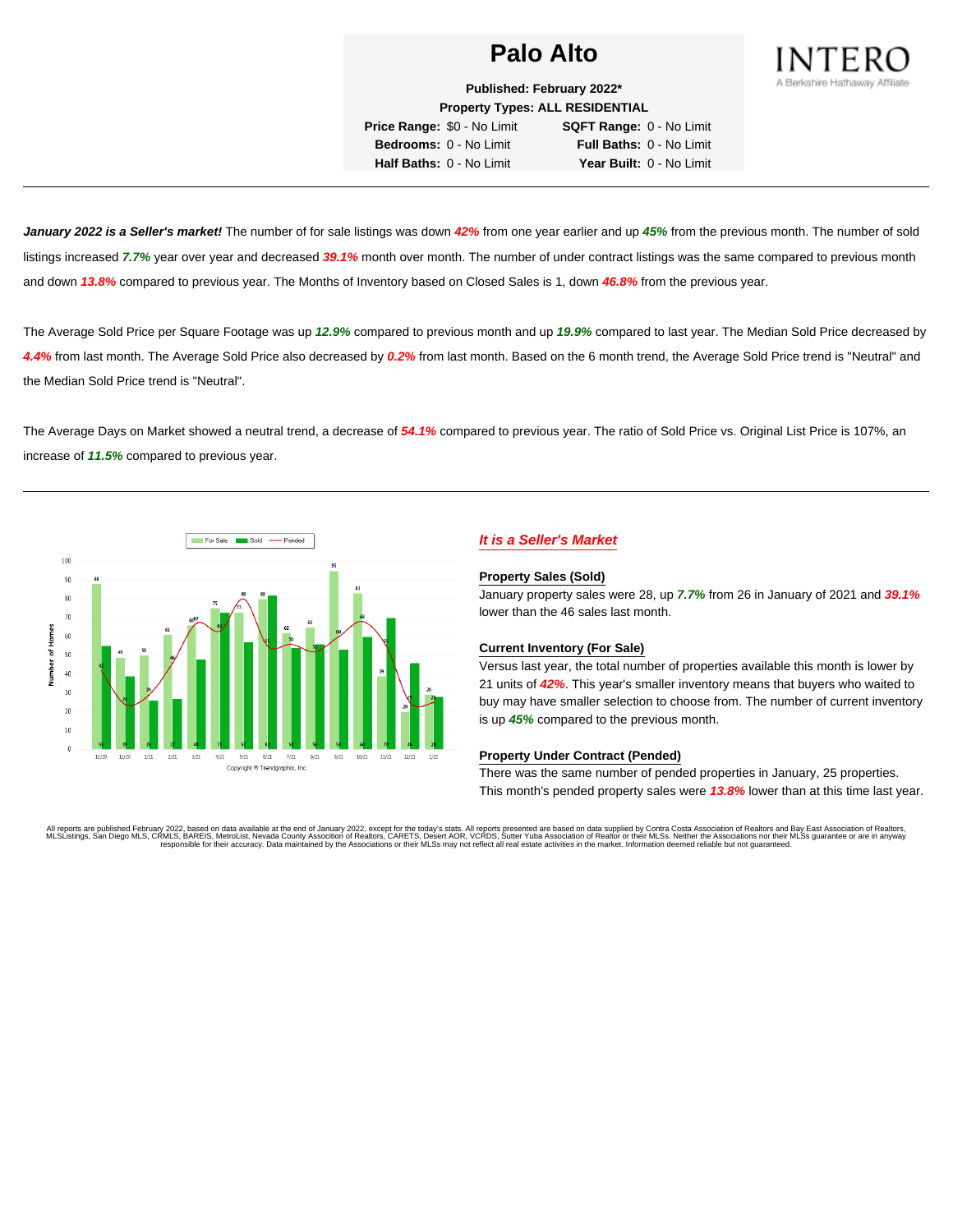

**Published: February 2022\* Property Types: ALL RESIDENTIAL**

**Price Range:** \$0 - No Limit **SQFT Range:** 0 - No Limit **Bedrooms:** 0 - No Limit **Full Baths:** 0 - No Limit **Half Baths:** 0 - No Limit **Year Built:** 0 - No Limit

**January 2022 is a Seller's market!** The number of for sale listings was down **42%** from one year earlier and up **45%** from the previous month. The number of sold listings increased **7.7%** year over year and decreased **39.1%** month over month. The number of under contract listings was the same compared to previous month and down **13.8%** compared to previous year. The Months of Inventory based on Closed Sales is 1, down **46.8%** from the previous year.

The Average Sold Price per Square Footage was up **12.9%** compared to previous month and up **19.9%** compared to last year. The Median Sold Price decreased by **4.4%** from last month. The Average Sold Price also decreased by **0.2%** from last month. Based on the 6 month trend, the Average Sold Price trend is "Neutral" and the Median Sold Price trend is "Neutral".

The Average Days on Market showed a neutral trend, a decrease of **54.1%** compared to previous year. The ratio of Sold Price vs. Original List Price is 107%, an increase of **11.5%** compared to previous year.



# **It is a Seller's Market**

#### **Property Sales (Sold)**

January property sales were 28, up **7.7%** from 26 in January of 2021 and **39.1%** lower than the 46 sales last month.

## **Current Inventory (For Sale)**

Versus last year, the total number of properties available this month is lower by 21 units of **42%**. This year's smaller inventory means that buyers who waited to buy may have smaller selection to choose from. The number of current inventory is up **45%** compared to the previous month.

## **Property Under Contract (Pended)**

There was the same number of pended properties in January, 25 properties. This month's pended property sales were **13.8%** lower than at this time last year.

All reports are published February 2022, based on data available at the end of January 2022, except for the today's stats. All reports presented are based on data supplied by Contra Costa Association of Realtors, and Date responsible for their accuracy. Data maintained by the Associations or their MLSs may not reflect all real estate activities in the market. Information deemed reliable but not guaranteed.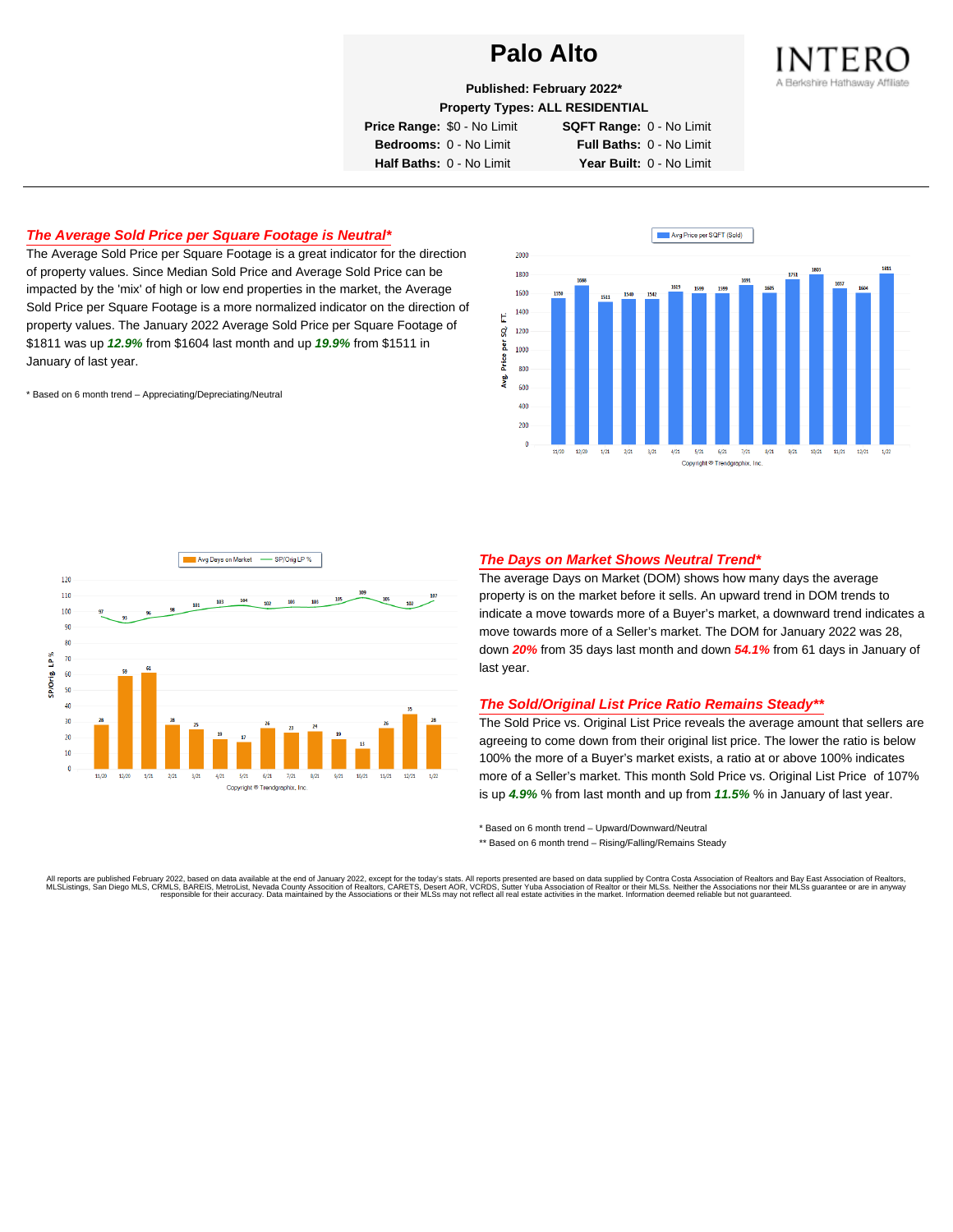

**Published: February 2022\***

**Property Types: ALL RESIDENTIAL**

**Price Range:** \$0 - No Limit **SQFT Range:** 0 - No Limit

**Bedrooms:** 0 - No Limit **Full Baths:** 0 - No Limit **Half Baths:** 0 - No Limit **Year Built:** 0 - No Limit

# **The Average Sold Price per Square Footage is Neutral\***

The Average Sold Price per Square Footage is a great indicator for the direction of property values. Since Median Sold Price and Average Sold Price can be impacted by the 'mix' of high or low end properties in the market, the Average Sold Price per Square Footage is a more normalized indicator on the direction of property values. The January 2022 Average Sold Price per Square Footage of \$1811 was up **12.9%** from \$1604 last month and up **19.9%** from \$1511 in January of last year.

\* Based on 6 month trend – Appreciating/Depreciating/Neutral





## **The Days on Market Shows Neutral Trend\***

The average Days on Market (DOM) shows how many days the average property is on the market before it sells. An upward trend in DOM trends to indicate a move towards more of a Buyer's market, a downward trend indicates a move towards more of a Seller's market. The DOM for January 2022 was 28, down **20%** from 35 days last month and down **54.1%** from 61 days in January of last year.

### **The Sold/Original List Price Ratio Remains Steady\*\***

The Sold Price vs. Original List Price reveals the average amount that sellers are agreeing to come down from their original list price. The lower the ratio is below 100% the more of a Buyer's market exists, a ratio at or above 100% indicates more of a Seller's market. This month Sold Price vs. Original List Price of 107% is up **4.9%** % from last month and up from **11.5%** % in January of last year.

\* Based on 6 month trend – Upward/Downward/Neutral

\*\* Based on 6 month trend - Rising/Falling/Remains Steady

All reports are published February 2022, based on data available at the end of January 2022, except for the today's stats. All reports presented are based on data supplied by Contra Costa Association of Realtors and Bay Ea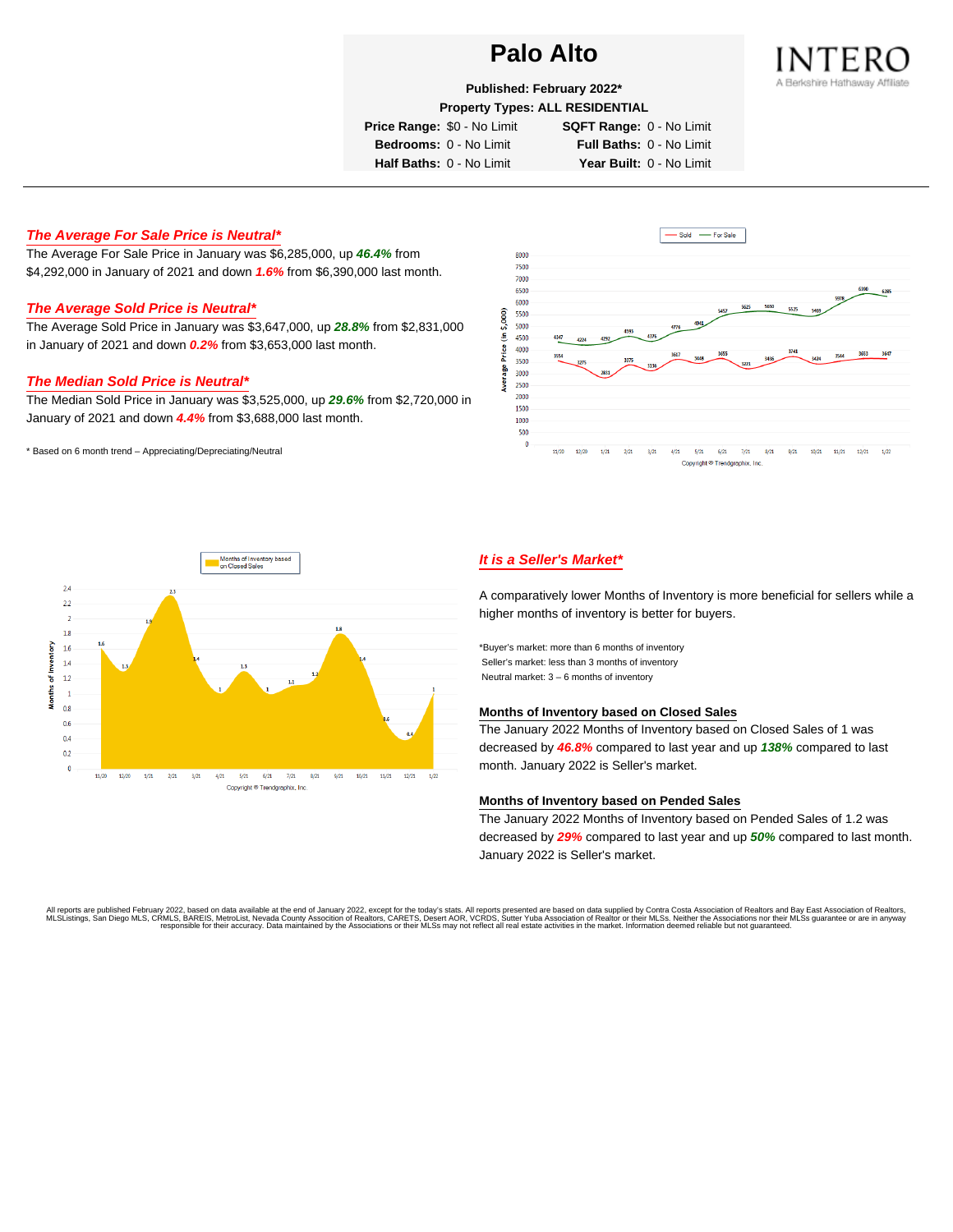

**Published: February 2022\***

**Property Types: ALL RESIDENTIAL**

**Price Range:** \$0 - No Limit **SQFT Range:** 0 - No Limit

**Bedrooms:** 0 - No Limit **Full Baths:** 0 - No Limit

**Half Baths:** 0 - No Limit **Year Built:** 0 - No Limit

# **The Average For Sale Price is Neutral\***

The Average For Sale Price in January was \$6,285,000, up **46.4%** from \$4,292,000 in January of 2021 and down **1.6%** from \$6,390,000 last month.

# **The Average Sold Price is Neutral\***

The Average Sold Price in January was \$3,647,000, up **28.8%** from \$2,831,000 in January of 2021 and down **0.2%** from \$3,653,000 last month.

# **The Median Sold Price is Neutral\***

The Median Sold Price in January was \$3,525,000, up **29.6%** from \$2,720,000 in January of 2021 and down **4.4%** from \$3,688,000 last month.

\* Based on 6 month trend – Appreciating/Depreciating/Neutral





# **It is a Seller's Market\***

A comparatively lower Months of Inventory is more beneficial for sellers while a higher months of inventory is better for buyers.

\*Buyer's market: more than 6 months of inventory Seller's market: less than 3 months of inventory Neutral market: 3 – 6 months of inventory

## **Months of Inventory based on Closed Sales**

The January 2022 Months of Inventory based on Closed Sales of 1 was decreased by **46.8%** compared to last year and up **138%** compared to last month. January 2022 is Seller's market.

### **Months of Inventory based on Pended Sales**

The January 2022 Months of Inventory based on Pended Sales of 1.2 was decreased by **29%** compared to last year and up **50%** compared to last month. January 2022 is Seller's market.

All reports are published February 2022, based on data available at the end of January 2022, except for the today's stats. All reports presented are based on data supplied by Contra Costa Association of Realtors, and beat responsible for their accuracy. Data maintained by the Associations or their MLSs may not reflect all real estate activities in the market. Information deemed reliable but not quaranteed